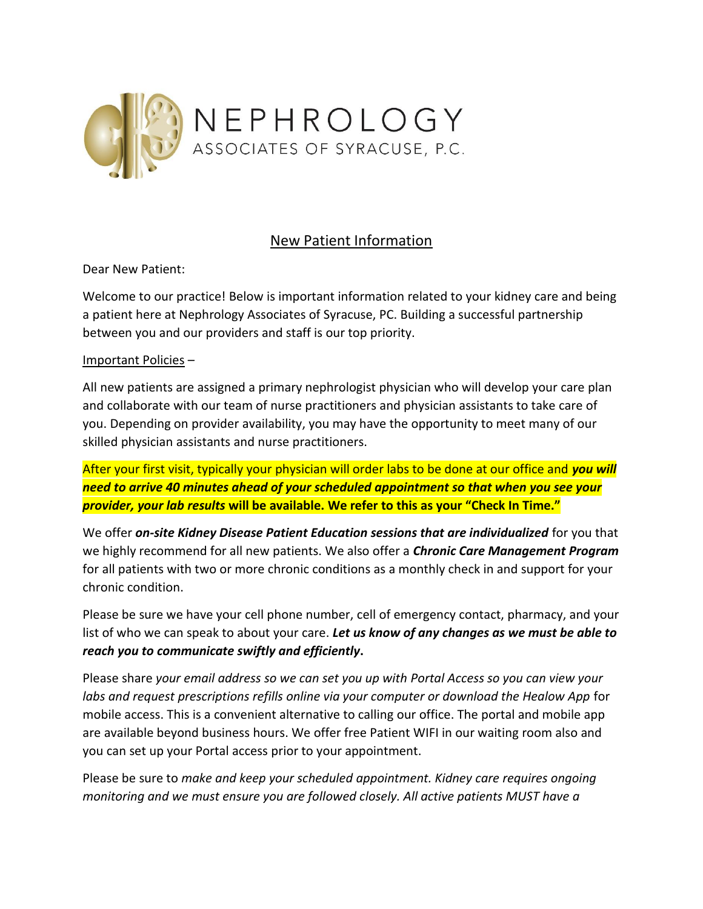

## New Patient Information

Dear New Patient:

Welcome to our practice! Below is important information related to your kidney care and being a patient here at Nephrology Associates of Syracuse, PC. Building a successful partnership between you and our providers and staff is our top priority.

## Important Policies –

All new patients are assigned a primary nephrologist physician who will develop your care plan and collaborate with our team of nurse practitioners and physician assistants to take care of you. Depending on provider availability, you may have the opportunity to meet many of our skilled physician assistants and nurse practitioners.

After your first visit, typically your physician will order labs to be done at our office and *you will need to arrive 40 minutes ahead of your scheduled appointment so that when you see your provider, your lab results* **will be available. We refer to this as your "Check In Time."**

We offer *on-site Kidney Disease Patient Education sessions that are individualized* for you that we highly recommend for all new patients. We also offer a *Chronic Care Management Program* for all patients with two or more chronic conditions as a monthly check in and support for your chronic condition.

Please be sure we have your cell phone number, cell of emergency contact, pharmacy, and your list of who we can speak to about your care. *Let us know of any changes as we must be able to reach you to communicate swiftly and efficiently***.**

Please share *your email address so we can set you up with Portal Access so you can view your labs and request prescriptions refills online via your computer or download the Healow App* for mobile access. This is a convenient alternative to calling our office. The portal and mobile app are available beyond business hours. We offer free Patient WIFI in our waiting room also and you can set up your Portal access prior to your appointment.

Please be sure to *make and keep your scheduled appointment. Kidney care requires ongoing monitoring and we must ensure you are followed closely. All active patients MUST have a*